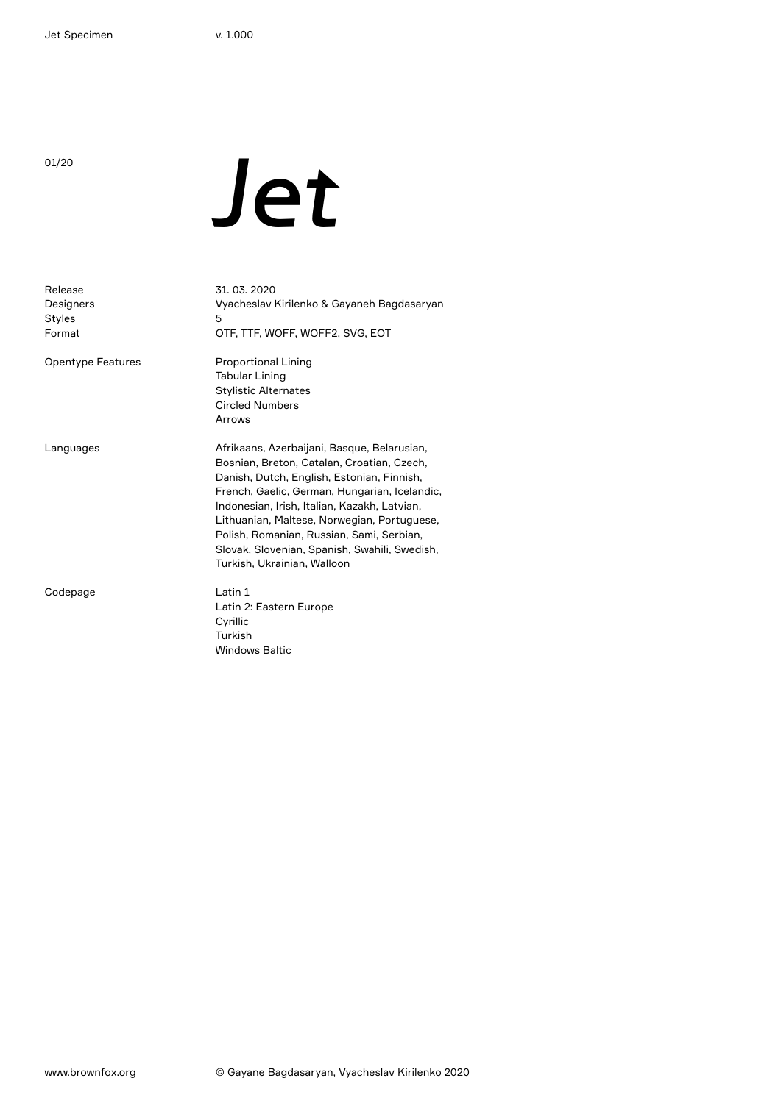# during Jet

| Release<br>Designers<br>Styles<br>Format | 31, 03, 2020<br>Vyacheslav Kirilenko & Gayaneh Bagdasaryan<br>5<br>OTF, TTF, WOFF, WOFF2, SVG, EOT                                                                                                                                                                                                                                                                                                                   |
|------------------------------------------|----------------------------------------------------------------------------------------------------------------------------------------------------------------------------------------------------------------------------------------------------------------------------------------------------------------------------------------------------------------------------------------------------------------------|
| <b>Opentype Features</b>                 | <b>Proportional Lining</b><br>Tabular Lining<br><b>Stylistic Alternates</b><br><b>Circled Numbers</b><br>Arrows                                                                                                                                                                                                                                                                                                      |
| Languages                                | Afrikaans, Azerbaijani, Basque, Belarusian,<br>Bosnian, Breton, Catalan, Croatian, Czech,<br>Danish, Dutch, English, Estonian, Finnish,<br>French, Gaelic, German, Hungarian, Icelandic,<br>Indonesian, Irish, Italian, Kazakh, Latvian,<br>Lithuanian, Maltese, Norwegian, Portuguese,<br>Polish, Romanian, Russian, Sami, Serbian,<br>Slovak, Slovenian, Spanish, Swahili, Swedish,<br>Turkish, Ukrainian, Walloon |
| Codepage                                 | Latin 1<br>Latin 2: Eastern Europe<br>Cyrillic<br>Turkish<br><b>Windows Baltic</b>                                                                                                                                                                                                                                                                                                                                   |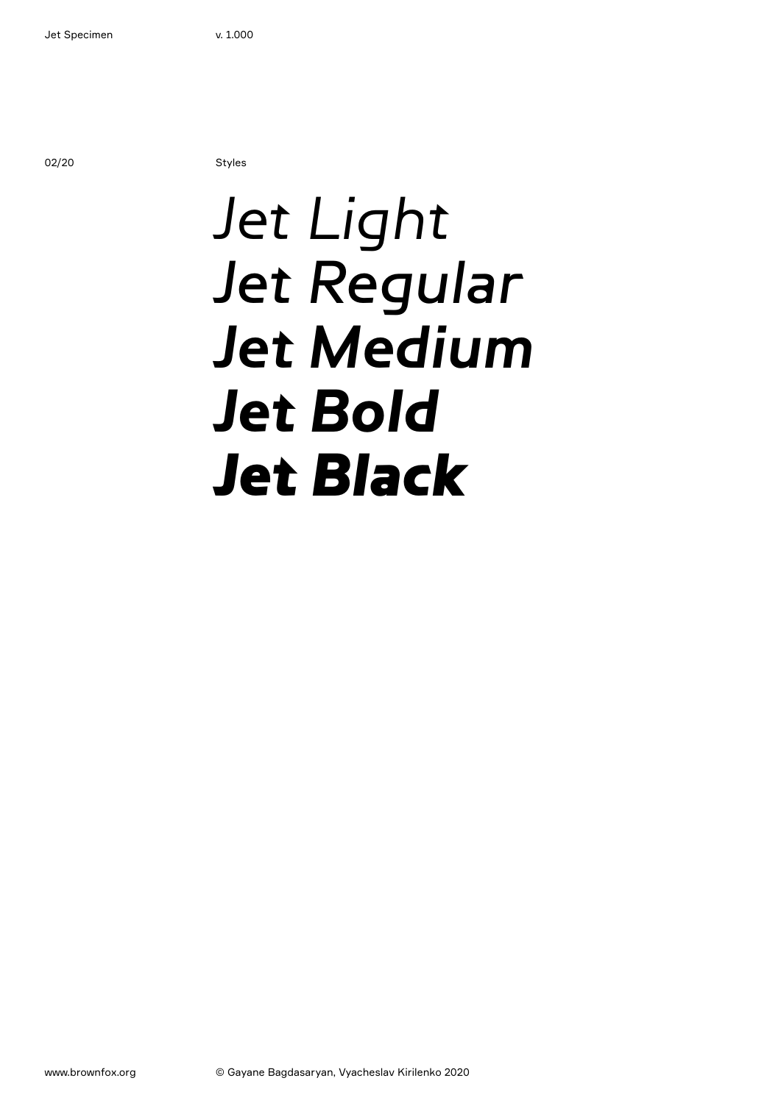02/20 Styles

### Jet Light Jet Regular Jet Medium **Jet Bold** Jet Black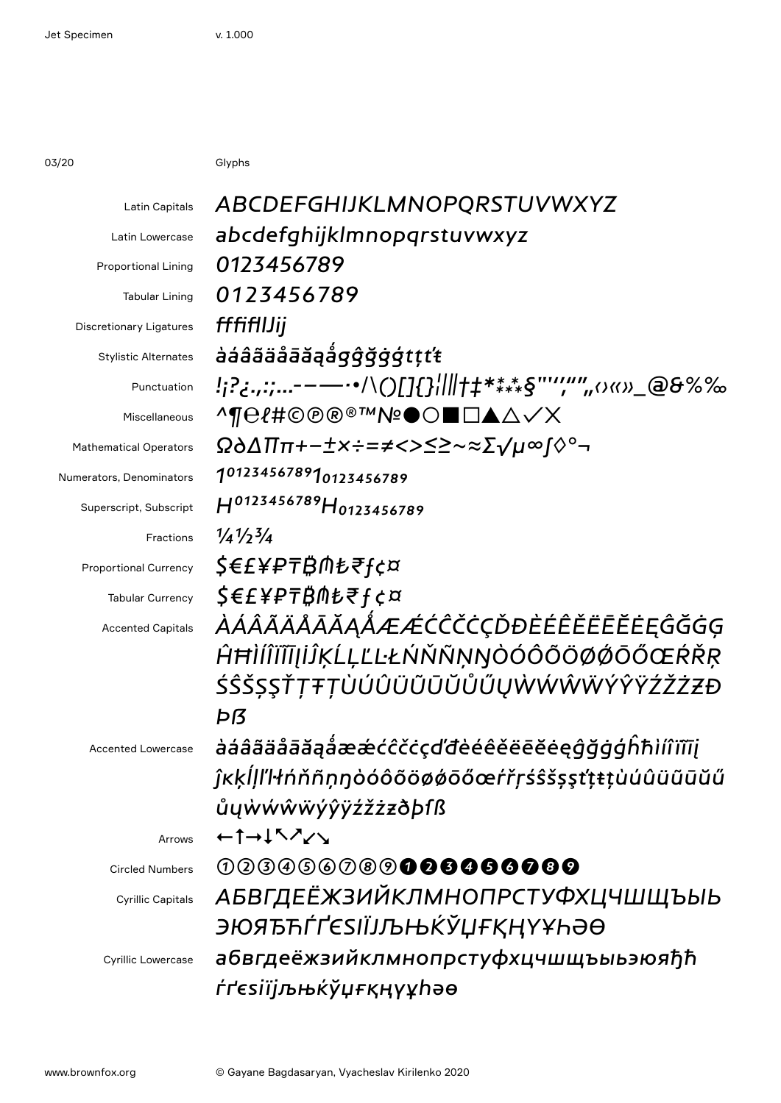03/20 Glyphs

| Latin Capitals                 | ABCDEFGHIJKLMNOPQRSTUVWXYZ                       |
|--------------------------------|--------------------------------------------------|
| Latin Lowercase                | abcdefghijklmnopgrstuvwxyz                       |
| <b>Proportional Lining</b>     | 0123456789                                       |
| <b>Tabular Lining</b>          | 0123456789                                       |
| <b>Discretionary Ligatures</b> | fffifilJij                                       |
| <b>Stylistic Alternates</b>    | àáâãäåāăąågĝğġģtțťŧ                              |
| Punctuation                    | !;?¿.,:;-----'\()[]{}¦    +#****§""","",o«»_@&%% |
| Miscellaneous                  | <sub>^¶</sub> e{#©®®™№●○■□▲△✓X                   |
| <b>Mathematical Operators</b>  | Ω∂∆∏π+−±×÷=≠<>≤≥~≈Σ√μ∞∫◊°¬                       |
| Numerators, Denominators       | 1012345678910123456789                           |
| Superscript, Subscript         | H0123456789H0123456789                           |
| Fractions                      | $\frac{1}{4}$ $\frac{1}{2}$ $\frac{3}{4}$        |
| <b>Proportional Currency</b>   | \$€£¥₽₸₿⋔₺₹ <i><del>ſ</del>¢¤</i>                |
| <b>Tabular Currency</b>        | <i><b>\$€£¥₽₸₿⋔₺₹f¢¤</b></i>                     |
| <b>Accented Capitals</b>       | <i>ÀÁÂÃÄÅĀĂĀAÅÆÆĆĈČČÇĎĐÈÉÊĚËĒĔĖĘĜĞĠĢ</i>         |
|                                | ĤĦÌÍĨĨĨĨĮİĴĶĹĻĽĿŁŃŇŇŅŊÒÓÔÕÖØØŌŐŒŔŘR              |
|                                | ŚŜŠȘŞŤŢŦŢÙÚÛŨŨŨŨŮŰŲŴŴŴŴŶŶŸŹŽŻZĐ                  |
|                                | Þß                                               |
| <b>Accented Lowercase</b>      | àáâãäåāăąåææćĉčċçďđèéêěëēĕėęĝğġģĥħìíîïīīj        |
|                                | ĵĸķĺļľŀłńňñņŋòóôõöøǿōőœŕřŗśŝšșşťţŧţùúûüũūŭű      |
|                                | ůyẁẃŵẅýŷÿźžżzðþfß                                |
| Arrows                         | $+1$ $+15$ $\lambda$ $\lambda$ $\lambda$         |
| <b>Circled Numbers</b>         | 000000000000000000                               |
| <b>Cyrillic Capitals</b>       | <u>АБВГДЕЁЖЗИЙКЛМНОПРСТУФХЦЧШЩЪЫЬ</u>            |
|                                | ӬЮЯЂЋЃҐЄЅІЇЈЉЊЌЎЏҒҚҢҮҰҺӘӨ                        |
| <b>Cyrillic Lowercase</b>      | абвгдеёжзийклмнопрстуфхцчшщъыьэюяђћ              |
|                                | ŕґєѕіїјљњќўџғқңүұhәө                             |
|                                |                                                  |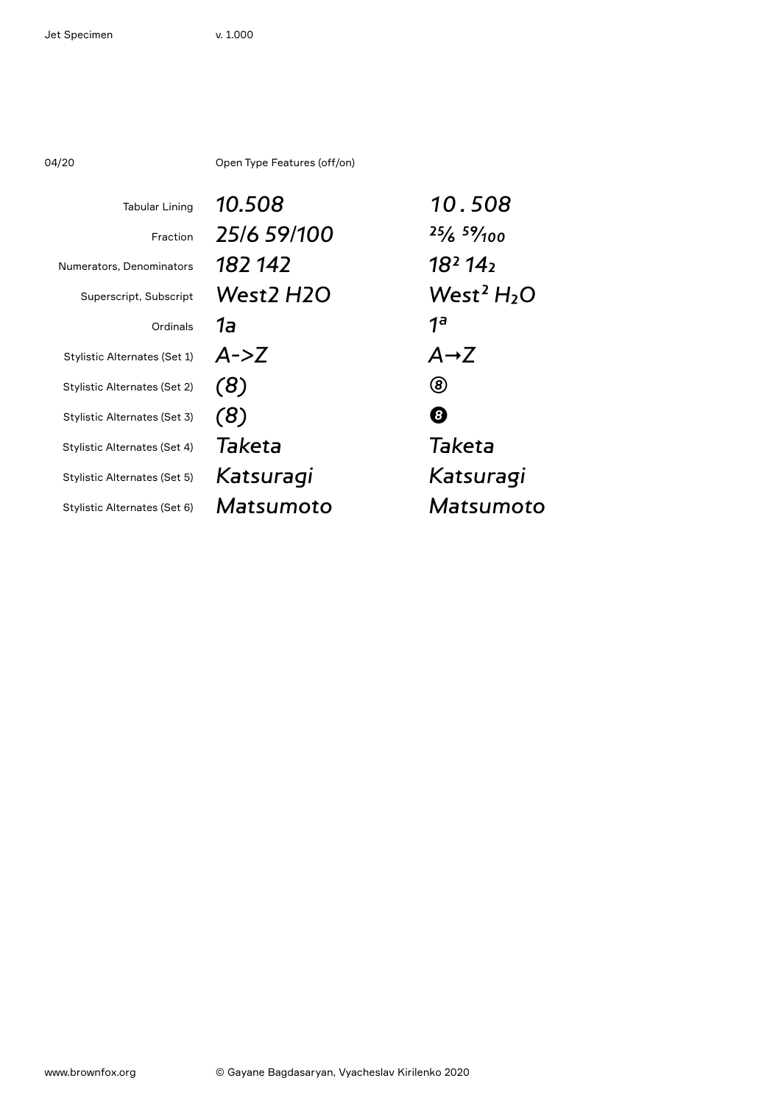04/20 Open Type Features (off/on)

| <b>Tabular Lining</b>        | 10.508        | 10.508                          |
|------------------------------|---------------|---------------------------------|
| Fraction                     | 25/6 59/100   | $25/6$ $59/100$                 |
| Numerators, Denominators     | 182 142       | 18 <sup>2</sup> 14 <sub>2</sub> |
| Superscript, Subscript       | West2 H2O     | West <sup>2</sup> $H_2O$        |
| Ordinals                     | 1a            | 1 <sub>a</sub>                  |
| Stylistic Alternates (Set 1) | $A - Z$       | $A \rightarrow Z$               |
| Stylistic Alternates (Set 2) | (8)           | (8)                             |
| Stylistic Alternates (Set 3) | (8)           | 0                               |
| Stylistic Alternates (Set 4) | <b>Taketa</b> | <b>Taketa</b>                   |
| Stylistic Alternates (Set 5) | Katsuragi     | Katsuragi                       |
| Stylistic Alternates (Set 6) | Matsumoto     | Matsumoto                       |
|                              |               |                                 |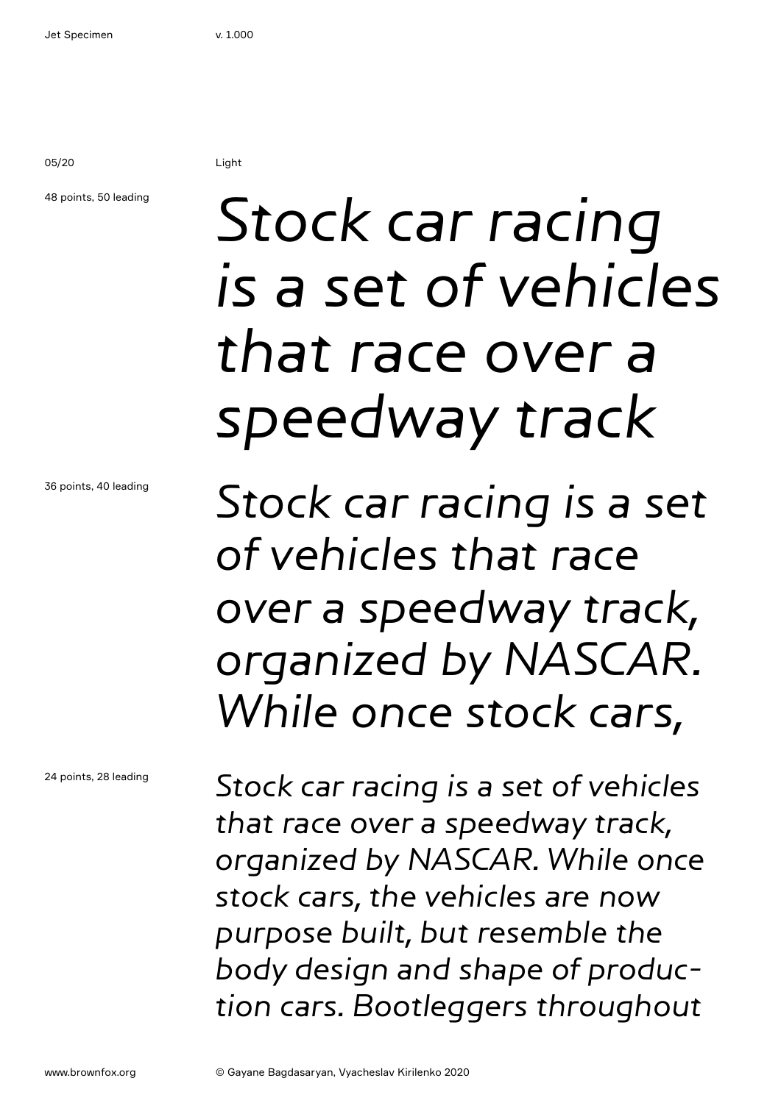05/20 Light

### 48 points, 50 leading

## Stock car racing is a set of vehicles that race over a speedway track

Stock car racing is a set of vehicles that race over a speedway track, organized by NASCAR. While once stock cars,

Stock car racing is a set of vehicles that race over a speedway track, organized by NASCAR. While once stock cars, the vehicles are now purpose built, but resemble the body design and shape of production cars. Bootleggers throughout

36 points, 40 leading

24 points, 28 leading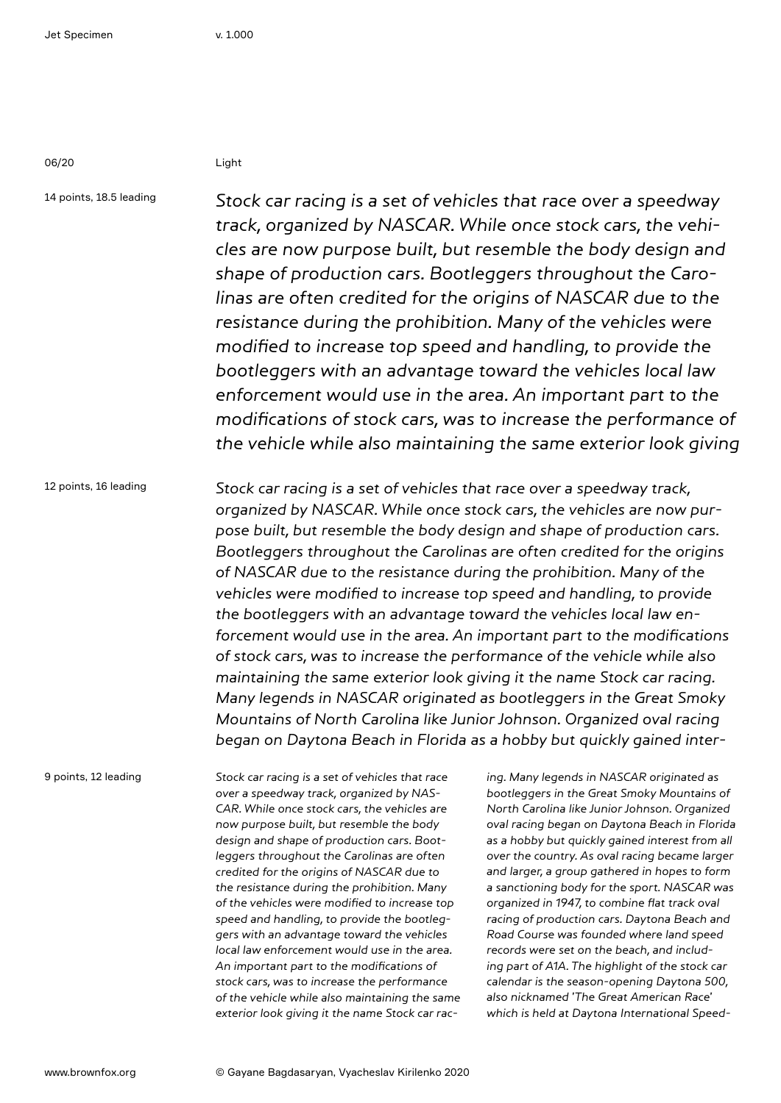06/20 Light

14 points, 18.5 leading Stock car racing is a set of vehicles that race over a speedway track, organized by NASCAR. While once stock cars, the vehicles are now purpose built, but resemble the body design and shape of production cars. Bootleggers throughout the Carolinas are often credited for the origins of NASCAR due to the resistance during the prohibition. Many of the vehicles were modified to increase top speed and handling, to provide the bootleggers with an advantage toward the vehicles local law enforcement would use in the area. An important part to the modifications of stock cars, was to increase the performance of the vehicle while also maintaining the same exterior look giving

12 points, 16 leading Stock car racing is a set of vehicles that race over a speedway track, organized by NASCAR. While once stock cars, the vehicles are now purpose built, but resemble the body design and shape of production cars. Bootleggers throughout the Carolinas are often credited for the origins of NASCAR due to the resistance during the prohibition. Many of the vehicles were modified to increase top speed and handling, to provide the bootleggers with an advantage toward the vehicles local law enforcement would use in the area. An important part to the modifications of stock cars, was to increase the performance of the vehicle while also maintaining the same exterior look giving it the name Stock car racing. Many legends in NASCAR originated as bootleggers in the Great Smoky Mountains of North Carolina like Junior Johnson. Organized oval racing began on Daytona Beach in Florida as a hobby but quickly gained inter-

9 points, 12 leading

Stock car racing is a set of vehicles that race over a speedway track, organized by NAS-CAR. While once stock cars, the vehicles are now purpose built, but resemble the body design and shape of production cars. Bootleggers throughout the Carolinas are often credited for the origins of NASCAR due to the resistance during the prohibition. Many of the vehicles were modified to increase top speed and handling, to provide the bootleggers with an advantage toward the vehicles local law enforcement would use in the area. An important part to the modifications of stock cars, was to increase the performance of the vehicle while also maintaining the same exterior look giving it the name Stock car rac-

ing. Many legends in NASCAR originated as bootleggers in the Great Smoky Mountains of North Carolina like Junior Johnson. Organized oval racing began on Daytona Beach in Florida as a hobby but quickly gained interest from all over the country. As oval racing became larger and larger, a group gathered in hopes to form a sanctioning body for the sport. NASCAR was organized in 1947, to combine flat track oval racing of production cars. Daytona Beach and Road Course was founded where land speed records were set on the beach, and including part of A1A. The highlight of the stock car calendar is the season-opening Daytona 500, also nicknamed 'The Great American Race' which is held at Daytona International Speed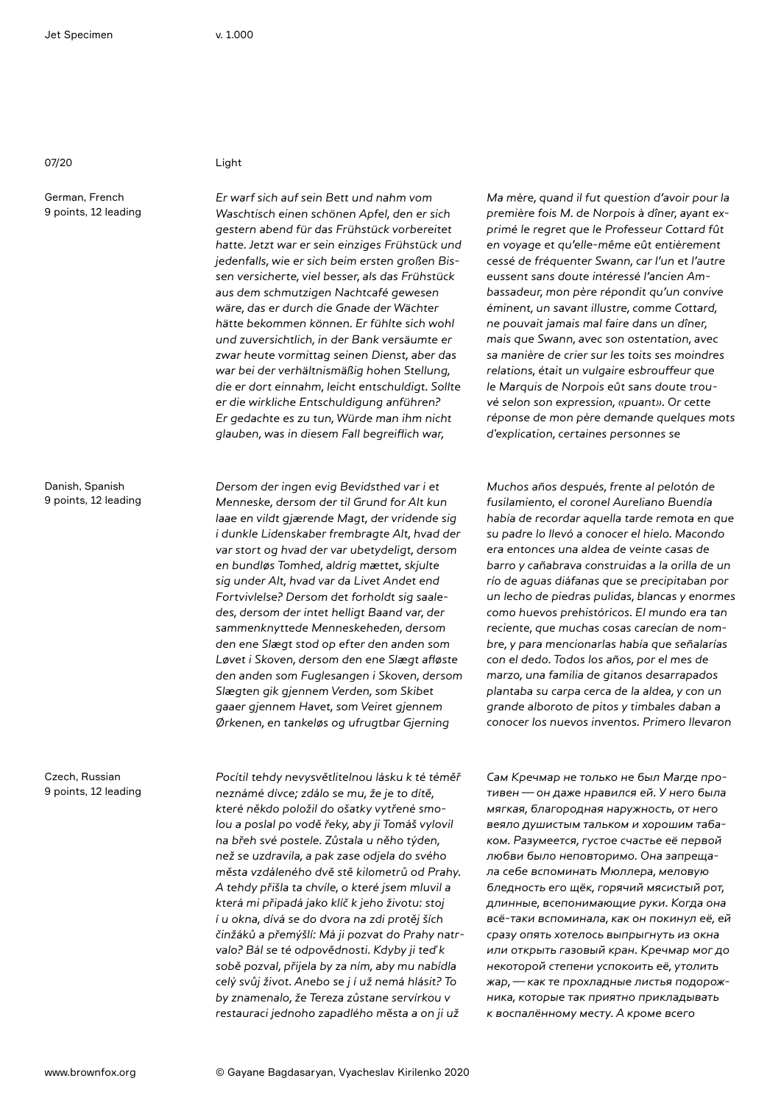07/20 Light

German, French 9 points, 12 leading

Danish, Spanish 9 points, 12 leading

Czech, Russian 9 points, 12 leading

Er warf sich auf sein Bett und nahm vom Waschtisch einen schönen Apfel, den er sich gestern abend für das Frühstück vorbereitet hatte. Jetzt war er sein einziges Frühstück und jedenfalls, wie er sich beim ersten großen Bissen versicherte, viel besser, als das Frühstück aus dem schmutzigen Nachtcafé gewesen wäre, das er durch die Gnade der Wächter hätte bekommen können. Er fühlte sich wohl und zuversichtlich, in der Bank versäumte er zwar heute vormittag seinen Dienst, aber das war bei der verhältnismäßig hohen Stellung, die er dort einnahm, leicht entschuldigt. Sollte er die wirkliche Entschuldigung anführen? Er gedachte es zu tun, Würde man ihm nicht glauben, was in diesem Fall begreiflich war,

Dersom der ingen evig Bevidsthed var i et Menneske, dersom der til Grund for Alt kun laae en vildt gjærende Magt, der vridende sig i dunkle Lidenskaber frembragte Alt, hvad der var stort og hvad der var ubetydeligt, dersom en bundløs Tomhed, aldrig mættet, skjulte sig under Alt, hvad var da Livet Andet end Fortvivlelse? Dersom det forholdt sig saaledes, dersom der intet helligt Baand var, der sammenknyttede Menneskeheden, dersom den ene Slægt stod op efter den anden som Løvet i Skoven, dersom den ene Slægt afløste den anden som Fuglesangen i Skoven, dersom Slægten gik gjennem Verden, som Skibet gaaer gjennem Havet, som Veiret gjennem Ørkenen, en tankeløs og ufrugtbar Gjerning

Pocítil tehdy nevysvětlitelnou lásku k té téměř neznámé dívce; zdálo se mu, že je to dítě, které někdo položil do ošatky vytřené smolou a poslal po vodě řeky, aby ji Tomáš vylovil na břeh své postele. Zůstala u něho týden, než se uzdravila, a pak zase odjela do svého města vzdáleného dvě stě kilometrů od Prahy. A tehdy přišla ta chvíle, o které jsem mluvil a která mi připadá jako klíč k jeho životu: stoj í u okna, dívá se do dvora na zdi protěj ších činžáků a přemýšlí: Má ji pozvat do Prahy natrvalo? Bál se té odpovědnosti. Kdyby ji teď k sobě pozval, přijela by za ním, aby mu nabídla celý svůj život. Anebo se j í už nemá hlásit? To by znamenalo, že Tereza zůstane servírkou v restauraci jednoho zapadlého města a on ji už

Ma mère, quand il fut question d'avoir pour la première fois M. de Norpois à dîner, ayant exprimé le regret que le Professeur Cottard fût en voyage et qu'elle-même eût entièrement cessé de fréquenter Swann, car l'un et l'autre eussent sans doute intéressé l'ancien Ambassadeur, mon père répondit qu'un convive éminent, un savant illustre, comme Cottard, ne pouvait jamais mal faire dans un dîner, mais que Swann, avec son ostentation, avec sa manière de crier sur les toits ses moindres relations, était un vulgaire esbrouffeur que le Marquis de Norpois eût sans doute trouvé selon son expression, «puant». Or cette réponse de mon père demande quelques mots d'explication, certaines personnes se

Muchos años después, frente al pelotón de fusilamiento, el coronel Aureliano Buendía había de recordar aquella tarde remota en que su padre lo llevó a conocer el hielo. Macondo era entonces una aldea de veinte casas de barro y cañabrava construidas a la orilla de un río de aguas diáfanas que se precipitaban por un lecho de piedras pulidas, blancas y enormes como huevos prehistóricos. El mundo era tan reciente, que muchas cosas carecían de nombre, y para mencionarlas había que señalarías con el dedo. Todos los años, por el mes de marzo, una familia de gitanos desarrapados plantaba su carpa cerca de la aldea, y con un grande alboroto de pitos y timbales daban a conocer los nuevos inventos. Primero llevaron

Сам Кречмар не только не был Магде противен—он даже нравился ей. У него была мягкая, благородная наружность, от него веяло душистым тальком и хорошим табаком. Разумеется, густое счастье её первой любви было неповторимо. Она запрещала себе вспоминать Мюллера, меловую бледность его щёк, горячий мясистый рот, длинные, всепонимающие руки. Когда она всё-таки вспоминала, как он покинул её, ей сразу опять хотелось выпрыгнуть из окна или открыть газовый кран. Кречмар мог до некоторой степени успокоить её, утолить жар,—как те прохладные листья подорожника, которые так приятно прикладывать к воспалённому месту. А кроме всего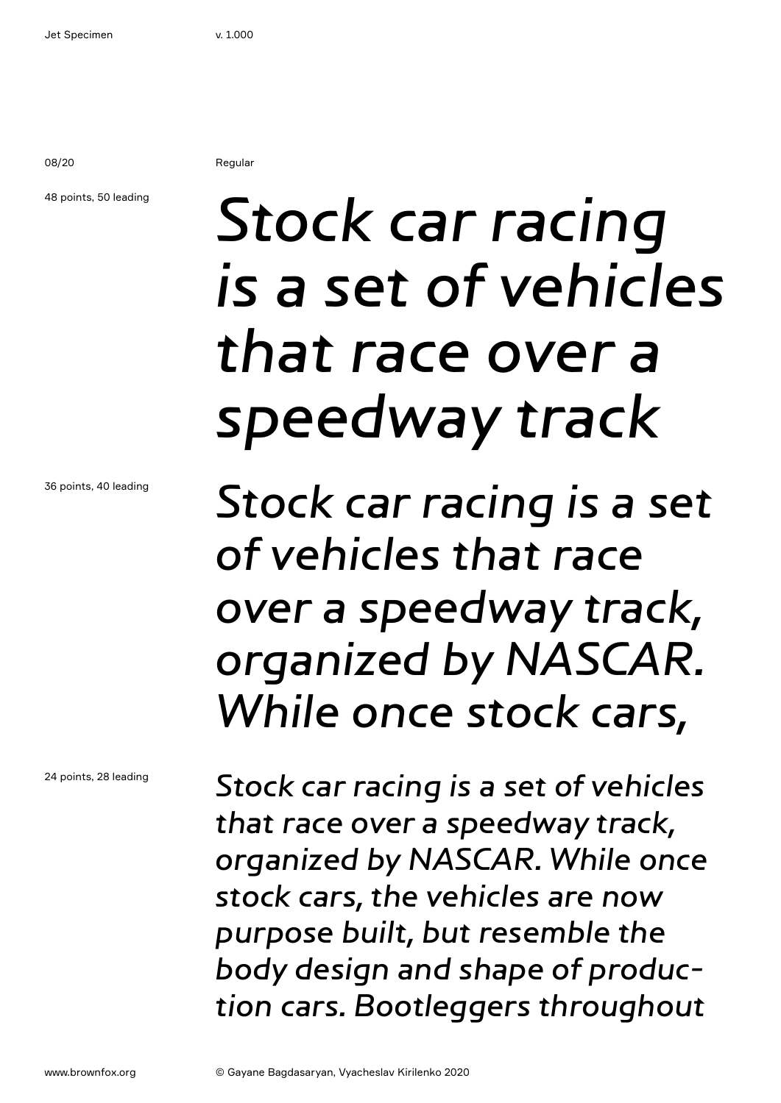08/20 Regular

### 48 points, 50 leading

Stock car racing is a set of vehicles that race over a speedway track

Stock car racing is a set of vehicles that race over a speedway track, organized by NASCAR. While once stock cars,

Stock car racing is a set of vehicles that race over a speedway track, organized by NASCAR. While once stock cars, the vehicles are now purpose built, but resemble the body design and shape of production cars. Bootleggers throughout

36 points, 40 leading

24 points, 28 leading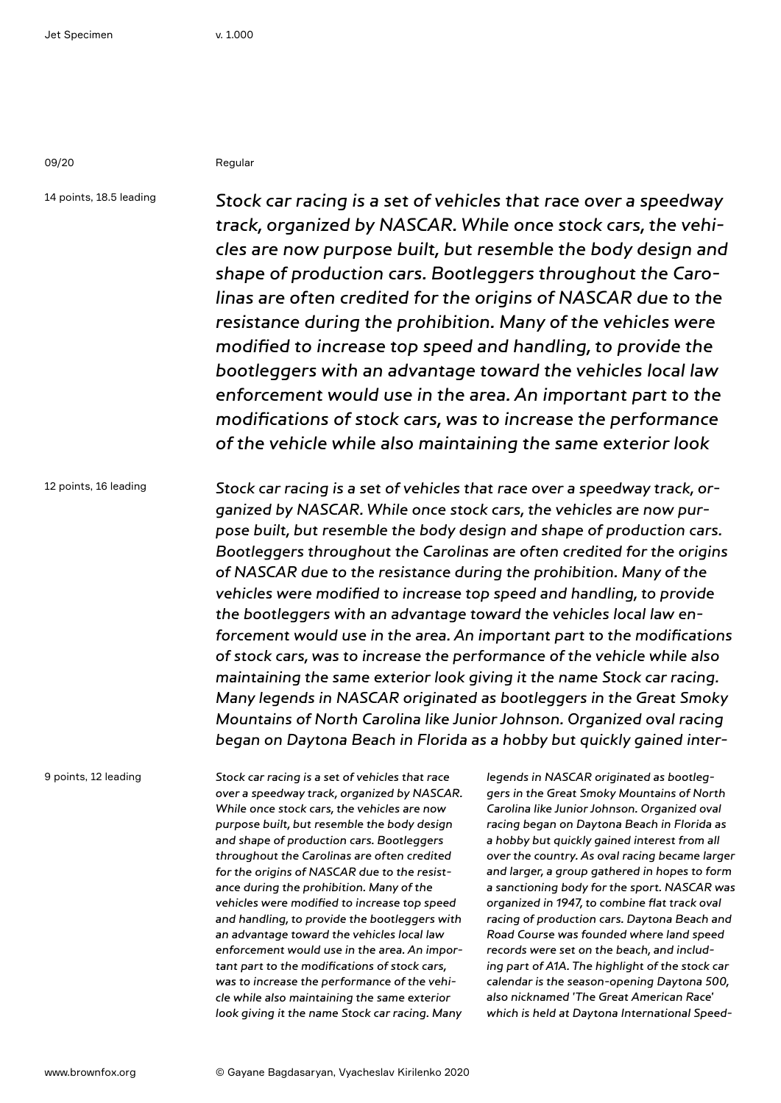09/20 Regular

14 points, 18.5 leading

Stock car racing is a set of vehicles that race over a speedway track, organized by NASCAR. While once stock cars, the vehicles are now purpose built, but resemble the body design and shape of production cars. Bootleggers throughout the Carolinas are often credited for the origins of NASCAR due to the resistance during the prohibition. Many of the vehicles were modified to increase top speed and handling, to provide the bootleggers with an advantage toward the vehicles local law enforcement would use in the area. An important part to the modifications of stock cars, was to increase the performance of the vehicle while also maintaining the same exterior look

12 points, 16 leading Stock car racing is a set of vehicles that race over a speedway track, organized by NASCAR. While once stock cars, the vehicles are now purpose built, but resemble the body design and shape of production cars. Bootleggers throughout the Carolinas are often credited for the origins of NASCAR due to the resistance during the prohibition. Many of the vehicles were modified to increase top speed and handling, to provide the bootleggers with an advantage toward the vehicles local law enforcement would use in the area. An important part to the modifications of stock cars, was to increase the performance of the vehicle while also maintaining the same exterior look giving it the name Stock car racing. Many legends in NASCAR originated as bootleggers in the Great Smoky Mountains of North Carolina like Junior Johnson. Organized oval racing began on Daytona Beach in Florida as a hobby but quickly gained inter-

9 points, 12 leading

Stock car racing is a set of vehicles that race over a speedway track, organized by NASCAR. While once stock cars, the vehicles are now purpose built, but resemble the body design and shape of production cars. Bootleggers throughout the Carolinas are often credited for the origins of NASCAR due to the resistance during the prohibition. Many of the vehicles were modified to increase top speed and handling, to provide the bootleggers with an advantage toward the vehicles local law enforcement would use in the area. An important part to the modifications of stock cars, was to increase the performance of the vehicle while also maintaining the same exterior look giving it the name Stock car racing. Many

legends in NASCAR originated as bootleggers in the Great Smoky Mountains of North Carolina like Junior Johnson. Organized oval racing began on Daytona Beach in Florida as a hobby but quickly gained interest from all over the country. As oval racing became larger and larger, a group gathered in hopes to form a sanctioning body for the sport. NASCAR was organized in 1947, to combine flat track oval racing of production cars. Daytona Beach and Road Course was founded where land speed records were set on the beach, and including part of A1A. The highlight of the stock car calendar is the season-opening Daytona 500, also nicknamed 'The Great American Race' which is held at Daytona International Speed-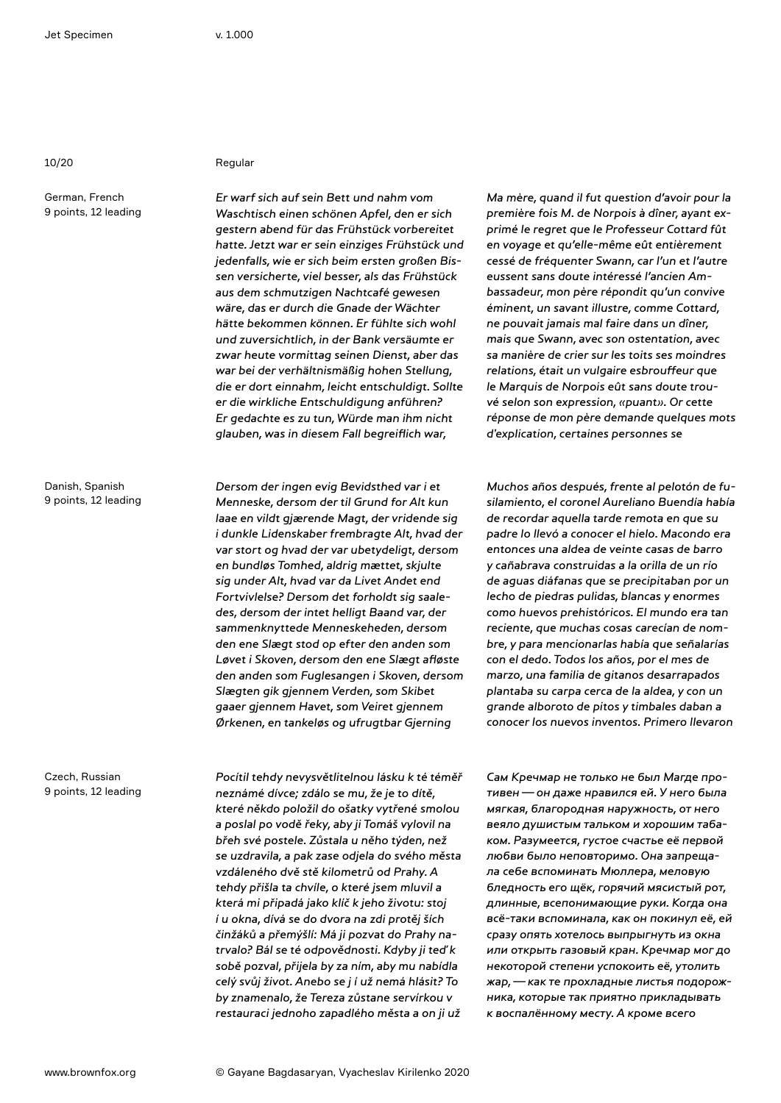German, French 9 points, 12 leading

Danish, Spanish 9 points, 12 leading

Czech, Russian 9 points, 12 leading

### 10/20 Regular

Er warf sich auf sein Bett und nahm vom Waschtisch einen schönen Apfel, den er sich gestern abend für das Frühstück vorbereitet hatte. Jetzt war er sein einziges Frühstück und jedenfalls, wie er sich beim ersten großen Bissen versicherte, viel besser, als das Frühstück aus dem schmutzigen Nachtcafé gewesen wäre, das er durch die Gnade der Wächter hätte bekommen können. Er fühlte sich wohl und zuversichtlich, in der Bank versäumte er zwar heute vormittag seinen Dienst, aber das war bei der verhältnismäßig hohen Stellung, die er dort einnahm, leicht entschuldigt. Sollte er die wirkliche Entschuldigung anführen? Er gedachte es zu tun, Würde man ihm nicht glauben, was in diesem Fall begreiflich war,

Dersom der ingen evig Bevidsthed var i et Menneske, dersom der til Grund for Alt kun laae en vildt gjærende Magt, der vridende sig i dunkle Lidenskaber frembragte Alt, hvad der var stort og hvad der var ubetydeligt, dersom en bundløs Tomhed, aldrig mættet, skjulte sig under Alt, hvad var da Livet Andet end Fortvivlelse? Dersom det forholdt sig saaledes, dersom der intet helligt Baand var, der sammenknyttede Menneskeheden, dersom den ene Slægt stod op efter den anden som Løvet i Skoven, dersom den ene Slægt afløste den anden som Fuglesangen i Skoven, dersom Slægten gik gjennem Verden, som Skibet gaaer gjennem Havet, som Veiret gjennem Ørkenen, en tankeløs og ufrugtbar Gjerning

Pocítil tehdy nevysvětlitelnou lásku k té téměř neznámé dívce; zdálo se mu, že je to dítě, které někdo položil do ošatky vytřené smolou a poslal po vodě řeky, aby ji Tomáš vylovil na břeh své postele. Zůstala u něho týden, než se uzdravila, a pak zase odjela do svého města vzdáleného dvě stě kilometrů od Prahy. A tehdy přišla ta chvíle, o které jsem mluvil a která mi připadá jako klíč k jeho životu: stoj í u okna, dívá se do dvora na zdi protěj ších činžáků a přemýšlí: Má ji pozvat do Prahy natrvalo? Bál se té odpovědnosti. Kdyby ji teď k sobě pozval, přijela by za ním, aby mu nabídla celý svůj život. Anebo se j í už nemá hlásit? To by znamenalo, že Tereza zůstane servírkou v restauraci jednoho zapadlého města a on ji už

Ma mère, quand il fut question d'avoir pour la première fois M. de Norpois à dîner, ayant exprimé le regret que le Professeur Cottard fût en voyage et qu'elle-même eût entièrement cessé de fréquenter Swann, car l'un et l'autre eussent sans doute intéressé l'ancien Ambassadeur, mon père répondit qu'un convive éminent, un savant illustre, comme Cottard, ne pouvait jamais mal faire dans un dîner, mais que Swann, avec son ostentation, avec sa manière de crier sur les toits ses moindres relations, était un vulgaire esbrouffeur que le Marquis de Norpois eût sans doute trouvé selon son expression, «puant». Or cette réponse de mon père demande quelques mots d'explication, certaines personnes se

Muchos años después, frente al pelotón de fusilamiento, el coronel Aureliano Buendía había de recordar aquella tarde remota en que su padre lo llevó a conocer el hielo. Macondo era entonces una aldea de veinte casas de barro y cañabrava construidas a la orilla de un río de aguas diáfanas que se precipitaban por un lecho de piedras pulidas, blancas y enormes como huevos prehistóricos. El mundo era tan reciente, que muchas cosas carecían de nombre, y para mencionarlas había que señalarías con el dedo. Todos los años, por el mes de marzo, una familia de gitanos desarrapados plantaba su carpa cerca de la aldea, y con un grande alboroto de pitos y timbales daban a conocer los nuevos inventos. Primero llevaron

Сам Кречмар не только не был Магде противен—он даже нравился ей. У него была мягкая, благородная наружность, от него веяло душистым тальком и хорошим табаком. Разумеется, густое счастье её первой любви было неповторимо. Она запрещала себе вспоминать Мюллера, меловую бледность его щёк, горячий мясистый рот, длинные, всепонимающие руки. Когда она всё-таки вспоминала, как он покинул её, ей сразу опять хотелось выпрыгнуть из окна или открыть газовый кран. Кречмар мог до некоторой степени успокоить её, утолить жар,—как те прохладные листья подорожника, которые так приятно прикладывать к воспалённому месту. А кроме всего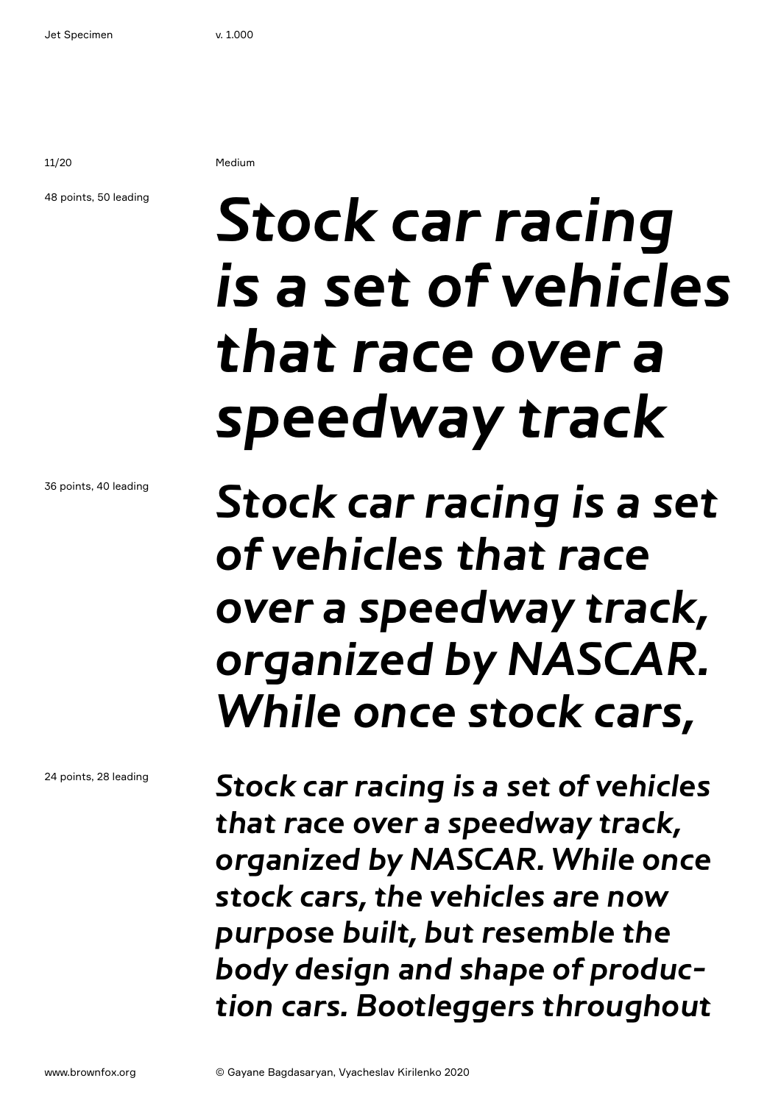11/20 Medium

### 48 points, 50 leading

## Stock car racing is a set of vehicles that race over a speedway track

Stock car racing is a set of vehicles that race over a speedway track, organized by NASCAR. While once stock cars,

Stock car racing is a set of vehicles that race over a speedway track, organized by NASCAR. While once stock cars, the vehicles are now purpose built, but resemble the body design and shape of production cars. Bootleggers throughout

36 points, 40 leading

24 points, 28 leading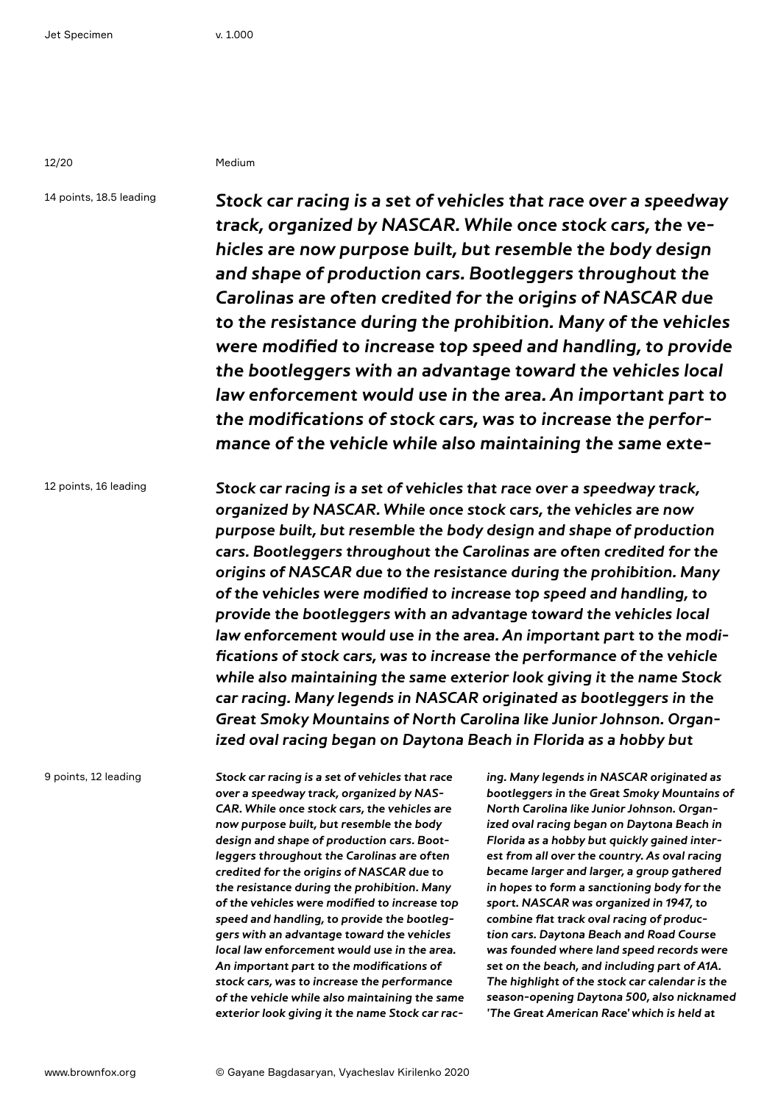12/20 Medium

14 points, 18.5 leading

Stock car racing is a set of vehicles that race over a speedway track, organized by NASCAR. While once stock cars, the vehicles are now purpose built, but resemble the body design and shape of production cars. Bootleggers throughout the Carolinas are often credited for the origins of NASCAR due to the resistance during the prohibition. Many of the vehicles were modified to increase top speed and handling, to provide the bootleggers with an advantage toward the vehicles local law enforcement would use in the area. An important part to the modifications of stock cars, was to increase the performance of the vehicle while also maintaining the same exte-

12 points, 16 leading Stock car racing is a set of vehicles that race over a speedway track, organized by NASCAR. While once stock cars, the vehicles are now purpose built, but resemble the body design and shape of production cars. Bootleggers throughout the Carolinas are often credited for the origins of NASCAR due to the resistance during the prohibition. Many of the vehicles were modified to increase top speed and handling, to provide the bootleggers with an advantage toward the vehicles local law enforcement would use in the area. An important part to the modifications of stock cars, was to increase the performance of the vehicle while also maintaining the same exterior look giving it the name Stock car racing. Many legends in NASCAR originated as bootleggers in the Great Smoky Mountains of North Carolina like Junior Johnson. Organized oval racing began on Daytona Beach in Florida as a hobby but

9 points, 12 leading

Stock car racing is a set of vehicles that race over a speedway track, organized by NAS-CAR. While once stock cars, the vehicles are now purpose built, but resemble the body design and shape of production cars. Bootleggers throughout the Carolinas are often credited for the origins of NASCAR due to the resistance during the prohibition. Many of the vehicles were modified to increase top speed and handling, to provide the bootleggers with an advantage toward the vehicles local law enforcement would use in the area. An important part to the modifications of stock cars, was to increase the performance of the vehicle while also maintaining the same exterior look giving it the name Stock car rac-

ing. Many legends in NASCAR originated as bootleggers in the Great Smoky Mountains of North Carolina like Junior Johnson. Organized oval racing began on Daytona Beach in Florida as a hobby but quickly gained interest from all over the country. As oval racing became larger and larger, a group gathered in hopes to form a sanctioning body for the sport. NASCAR was organized in 1947, to combine flat track oval racing of production cars. Daytona Beach and Road Course was founded where land speed records were set on the beach, and including part of A1A. The highlight of the stock car calendar is the season-opening Daytona 500, also nicknamed 'The Great American Race' which is held at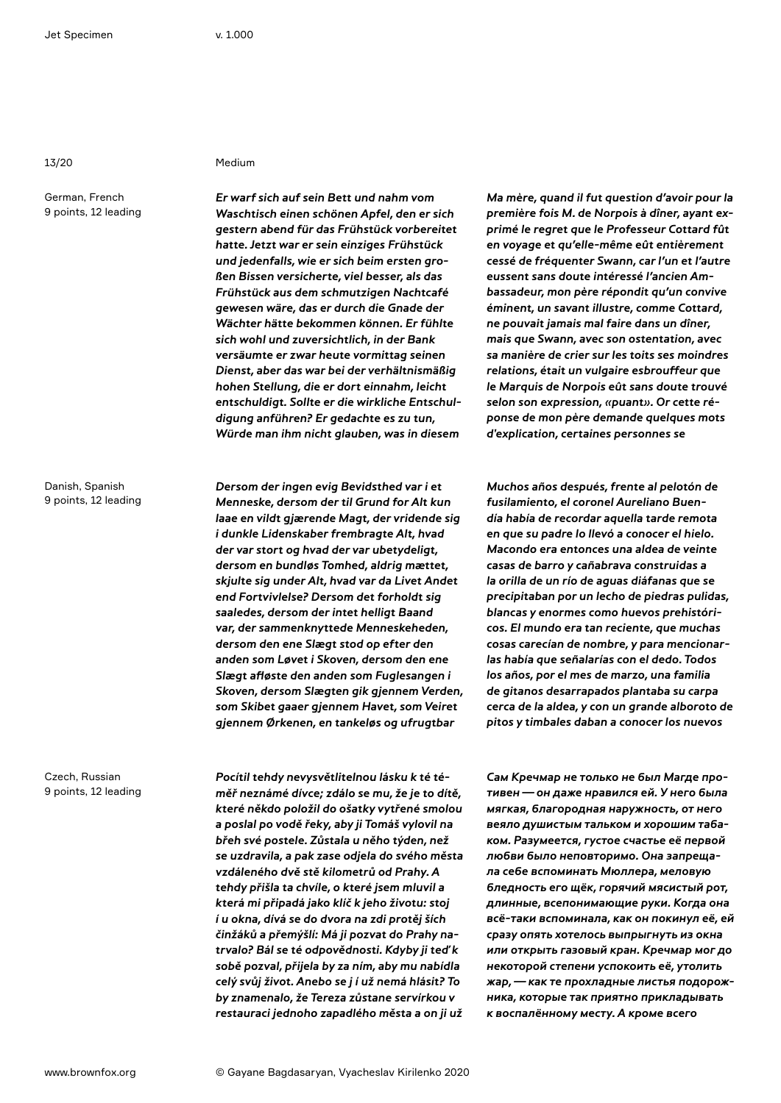German, French 9 points, 12 leading

Danish, Spanish 9 points, 12 leading

Czech, Russian 9 points, 12 leading

### 13/20 Medium

Er warf sich auf sein Bett und nahm vom Waschtisch einen schönen Apfel, den er sich gestern abend für das Frühstück vorbereitet hatte. Jetzt war er sein einziges Frühstück und jedenfalls, wie er sich beim ersten großen Bissen versicherte, viel besser, als das Frühstück aus dem schmutzigen Nachtcafé gewesen wäre, das er durch die Gnade der Wächter hätte bekommen können. Er fühlte sich wohl und zuversichtlich, in der Bank versäumte er zwar heute vormittag seinen Dienst, aber das war bei der verhältnismäßig hohen Stellung, die er dort einnahm, leicht entschuldigt. Sollte er die wirkliche Entschuldigung anführen? Er gedachte es zu tun, Würde man ihm nicht glauben, was in diesem

Dersom der ingen evig Bevidsthed var i et Menneske, dersom der til Grund for Alt kun laae en vildt gjærende Magt, der vridende sig i dunkle Lidenskaber frembragte Alt, hvad der var stort og hvad der var ubetydeligt, dersom en bundløs Tomhed, aldrig mættet, skjulte sig under Alt, hvad var da Livet Andet end Fortvivlelse? Dersom det forholdt sig saaledes, dersom der intet helligt Baand var, der sammenknyttede Menneskeheden, dersom den ene Slægt stod op efter den anden som Løvet i Skoven, dersom den ene Slægt afløste den anden som Fuglesangen i Skoven, dersom Slægten gik gjennem Verden, som Skibet gaaer gjennem Havet, som Veiret gjennem Ørkenen, en tankeløs og ufrugtbar

Pocítil tehdy nevysvětlitelnou lásku k té téměř neznámé dívce; zdálo se mu, že je to dítě, které někdo položil do ošatky vytřené smolou a poslal po vodě řeky, aby ji Tomáš vylovil na břeh své postele. Zůstala u něho týden, než se uzdravila, a pak zase odjela do svého města vzdáleného dvě stě kilometrů od Prahy. A tehdy přišla ta chvíle, o které jsem mluvil a která mi připadá jako klíč k jeho životu: stoj í u okna, dívá se do dvora na zdi protěj ších činžáků a přemýšlí: Má ji pozvat do Prahy natrvalo? Bál se té odpovědnosti. Kdyby ji teď k sobě pozval, přijela by za ním, aby mu nabídla celý svůj život. Anebo se j í už nemá hlásit? To by znamenalo, že Tereza zůstane servírkou v restauraci jednoho zapadlého města a on ji už

Ma mère, quand il fut question d'avoir pour la première fois M. de Norpois à dîner, ayant exprimé le regret que le Professeur Cottard fût en voyage et qu'elle-même eût entièrement cessé de fréquenter Swann, car l'un et l'autre eussent sans doute intéressé l'ancien Ambassadeur, mon père répondit qu'un convive éminent, un savant illustre, comme Cottard, ne pouvait jamais mal faire dans un dîner, mais que Swann, avec son ostentation, avec sa manière de crier sur les toits ses moindres relations, était un vulgaire esbrouffeur que le Marquis de Norpois eût sans doute trouvé selon son expression, «puant». Or cette réponse de mon père demande quelques mots d'explication, certaines personnes se

Muchos años después, frente al pelotón de fusilamiento, el coronel Aureliano Buendía había de recordar aquella tarde remota en que su padre lo llevó a conocer el hielo. Macondo era entonces una aldea de veinte casas de barro y cañabrava construidas a la orilla de un río de aguas diáfanas que se precipitaban por un lecho de piedras pulidas, blancas y enormes como huevos prehistóricos. El mundo era tan reciente, que muchas cosas carecían de nombre, y para mencionarlas había que señalarías con el dedo. Todos los años, por el mes de marzo, una familia de gitanos desarrapados plantaba su carpa cerca de la aldea, y con un grande alboroto de pitos y timbales daban a conocer los nuevos

Сам Кречмар не только не был Магде противен—он даже нравился ей. У него была мягкая, благородная наружность, от него веяло душистым тальком и хорошим табаком. Разумеется, густое счастье её первой любви было неповторимо. Она запрещала себе вспоминать Мюллера, меловую бледность его щёк, горячий мясистый рот, длинные, всепонимающие руки. Когда она всё-таки вспоминала, как он покинул её, ей сразу опять хотелось выпрыгнуть из окна или открыть газовый кран. Кречмар мог до некоторой степени успокоить её, утолить жар,—как те прохладные листья подорожника, которые так приятно прикладывать к воспалённому месту. А кроме всего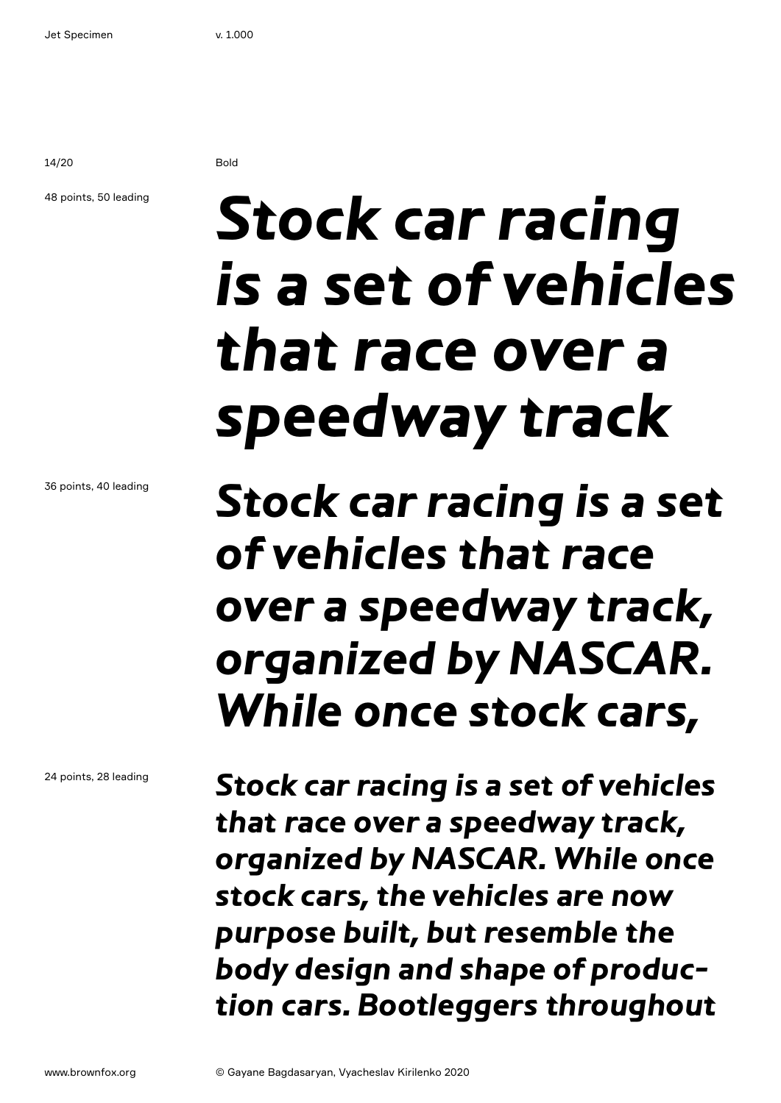14/20 Bold

### 48 points, 50 leading

## **Stock car racing is a set of vehicles that race over a speedway track**

36 points, 40 leading

24 points, 28 leading

**Stock car racing is a set of vehicles that race over a speedway track, organized by NASCAR. While once stock cars,** 

**Stock car racing is a set of vehicles that race over a speedway track, organized by NASCAR. While once stock cars, the vehicles are now purpose built, but resemble the body design and shape of production cars. Bootleggers throughout**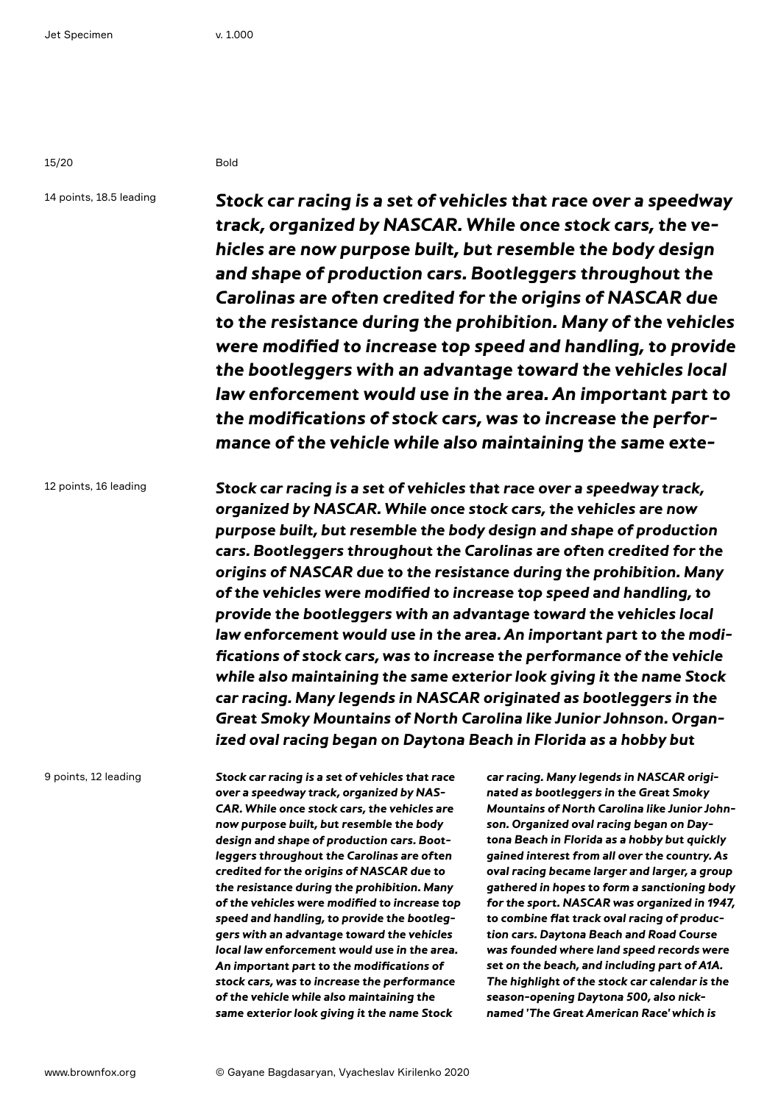15/20 Bold

14 points, 18.5 leading

**Stock car racing is a set of vehicles that race over a speedway track, organized by NASCAR. While once stock cars, the vehicles are now purpose built, but resemble the body design and shape of production cars. Bootleggers throughout the Carolinas are often credited for the origins of NASCAR due to the resistance during the prohibition. Many of the vehicles were modified to increase top speed and handling, to provide the bootleggers with an advantage toward the vehicles local law enforcement would use in the area. An important part to the modifications of stock cars, was to increase the performance of the vehicle while also maintaining the same exte-**

12 points, 16 leading

**Stock car racing is a set of vehicles that race over a speedway track, organized by NASCAR. While once stock cars, the vehicles are now purpose built, but resemble the body design and shape of production cars. Bootleggers throughout the Carolinas are often credited for the origins of NASCAR due to the resistance during the prohibition. Many of the vehicles were modified to increase top speed and handling, to provide the bootleggers with an advantage toward the vehicles local law enforcement would use in the area. An important part to the modifications of stock cars, was to increase the performance of the vehicle while also maintaining the same exterior look giving it the name Stock car racing. Many legends in NASCAR originated as bootleggers in the Great Smoky Mountains of North Carolina like Junior Johnson. Organized oval racing began on Daytona Beach in Florida as a hobby but** 

9 points, 12 leading

**Stock car racing is a set of vehicles that race over a speedway track, organized by NAS-CAR. While once stock cars, the vehicles are now purpose built, but resemble the body design and shape of production cars. Bootleggers throughout the Carolinas are often credited for the origins of NASCAR due to the resistance during the prohibition. Many of the vehicles were modified to increase top speed and handling, to provide the bootleggers with an advantage toward the vehicles local law enforcement would use in the area. An important part to the modifications of stock cars, was to increase the performance of the vehicle while also maintaining the same exterior look giving it the name Stock** 

**car racing. Many legends in NASCAR originated as bootleggers in the Great Smoky Mountains of North Carolina like Junior Johnson. Organized oval racing began on Daytona Beach in Florida as a hobby but quickly gained interest from all over the country. As oval racing became larger and larger, a group gathered in hopes to form a sanctioning body for the sport. NASCAR was organized in 1947, to combine flat track oval racing of production cars. Daytona Beach and Road Course was founded where land speed records were set on the beach, and including part of A1A. The highlight of the stock car calendar is the season-opening Daytona 500, also nicknamed 'The Great American Race' which is**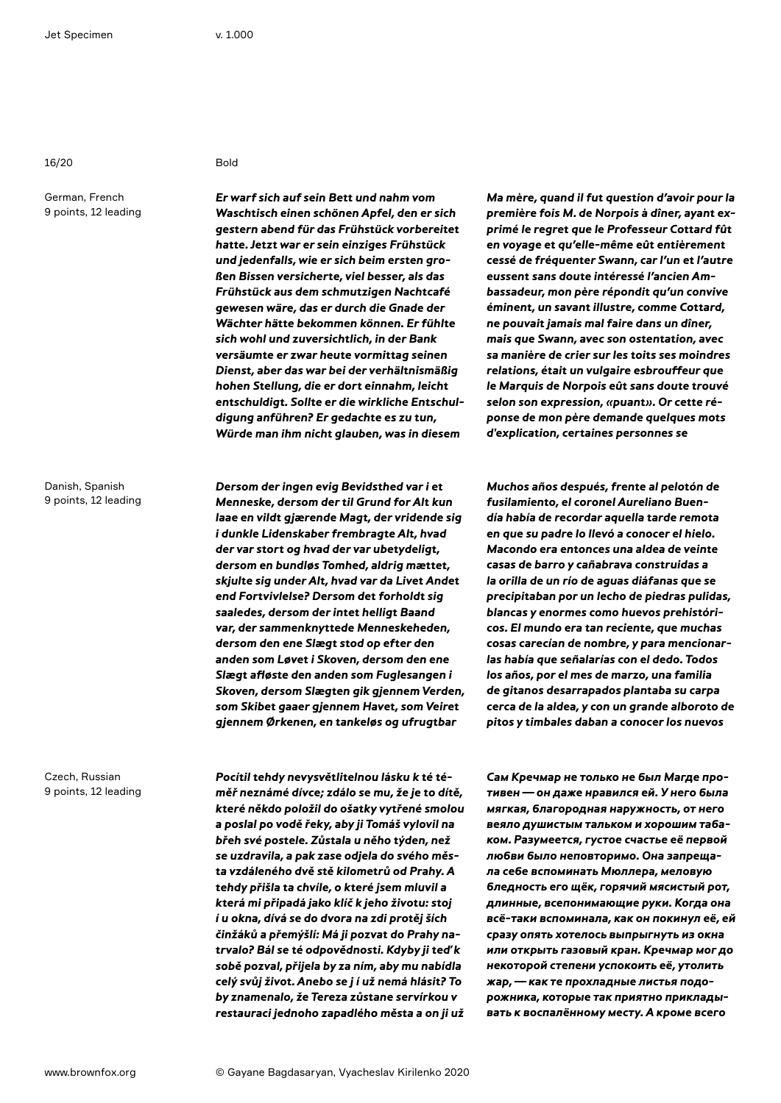16/20 Bold

German, French 9 points, 12 leading

Danish, Spanish 9 points, 12 leading

Czech, Russian 9 points, 12 leading

**Er warf sich auf sein Bett und nahm vom Waschtisch einen schönen Apfel, den er sich gestern abend für das Frühstück vorbereitet hatte. Jetzt war er sein einziges Frühstück und jedenfalls, wie er sich beim ersten großen Bissen versicherte, viel besser, als das Frühstück aus dem schmutzigen Nachtcafé gewesen wäre, das er durch die Gnade der Wächter hätte bekommen können. Er fühlte sich wohl und zuversichtlich, in der Bank versäumte er zwar heute vormittag seinen Dienst, aber das war bei der verhältnismäßig hohen Stellung, die er dort einnahm, leicht entschuldigt. Sollte er die wirkliche Entschuldigung anführen? Er gedachte es zu tun, Würde man ihm nicht glauben, was in diesem** 

**Dersom der ingen evig Bevidsthed var i et Menneske, dersom der til Grund for Alt kun laae en vildt gjærende Magt, der vridende sig i dunkle Lidenskaber frembragte Alt, hvad der var stort og hvad der var ubetydeligt, dersom en bundløs Tomhed, aldrig mættet, skjulte sig under Alt, hvad var da Livet Andet end Fortvivlelse? Dersom det forholdt sig saaledes, dersom der intet helligt Baand var, der sammenknyttede Menneskeheden, dersom den ene Slægt stod op efter den anden som Løvet i Skoven, dersom den ene Slægt afløste den anden som Fuglesangen i Skoven, dersom Slægten gik gjennem Verden, som Skibet gaaer gjennem Havet, som Veiret gjennem Ørkenen, en tankeløs og ufrugtbar** 

**Pocítil tehdy nevysvětlitelnou lásku k té téměř neznámé dívce; zdálo se mu, že je to dítě, které někdo položil do ošatky vytřené smolou a poslal po vodě řeky, aby ji Tomáš vylovil na břeh své postele. Zůstala u něho týden, než se uzdravila, a pak zase odjela do svého města vzdáleného dvě stě kilometrů od Prahy. A tehdy přišla ta chvíle, o které jsem mluvil a která mi připadá jako klíč k jeho životu: stoj í u okna, dívá se do dvora na zdi protěj ších činžáků a přemýšlí: Má ji pozvat do Prahy natrvalo? Bál se té odpovědnosti. Kdyby ji teď k sobě pozval, přijela by za ním, aby mu nabídla celý svůj život. Anebo se j í už nemá hlásit? To by znamenalo, že Tereza zůstane servírkou v restauraci jednoho zapadlého města a on ji už**  **Ma mère, quand il fut question d'avoir pour la première fois M. de Norpois à dîner, ayant exprimé le regret que le Professeur Cottard fût en voyage et qu'elle-même eût entièrement cessé de fréquenter Swann, car l'un et l'autre eussent sans doute intéressé l'ancien Ambassadeur, mon père répondit qu'un convive éminent, un savant illustre, comme Cottard, ne pouvait jamais mal faire dans un dîner, mais que Swann, avec son ostentation, avec sa manière de crier sur les toits ses moindres relations, était un vulgaire esbrouffeur que le Marquis de Norpois eût sans doute trouvé selon son expression, «puant». Or cette réponse de mon père demande quelques mots d'explication, certaines personnes se** 

**Muchos años después, frente al pelotón de fusilamiento, el coronel Aureliano Buendía había de recordar aquella tarde remota en que su padre lo llevó a conocer el hielo. Macondo era entonces una aldea de veinte casas de barro y cañabrava construidas a la orilla de un río de aguas diáfanas que se precipitaban por un lecho de piedras pulidas, blancas y enormes como huevos prehistóricos. El mundo era tan reciente, que muchas cosas carecían de nombre, y para mencionarlas había que señalarías con el dedo. Todos los años, por el mes de marzo, una familia de gitanos desarrapados plantaba su carpa cerca de la aldea, y con un grande alboroto de pitos y timbales daban a conocer los nuevos** 

**Сам Кречмар не только не был Магде противен—он даже нравился ей. У него была мягкая, благородная наружность, от него веяло душистым тальком и хорошим табаком. Разумеется, густое счастье её первой любви было неповторимо. Она запрещала себе вспоминать Мюллера, меловую бледность его щёк, горячий мясистый рот, длинные, всепонимающие руки. Когда она всё-таки вспоминала, как он покинул её, ей сразу опять хотелось выпрыгнуть из окна или открыть газовый кран. Кречмар мог до некоторой степени успокоить её, утолить жар,—как те прохладные листья подорожника, которые так приятно прикладывать к воспалённому месту. А кроме всего**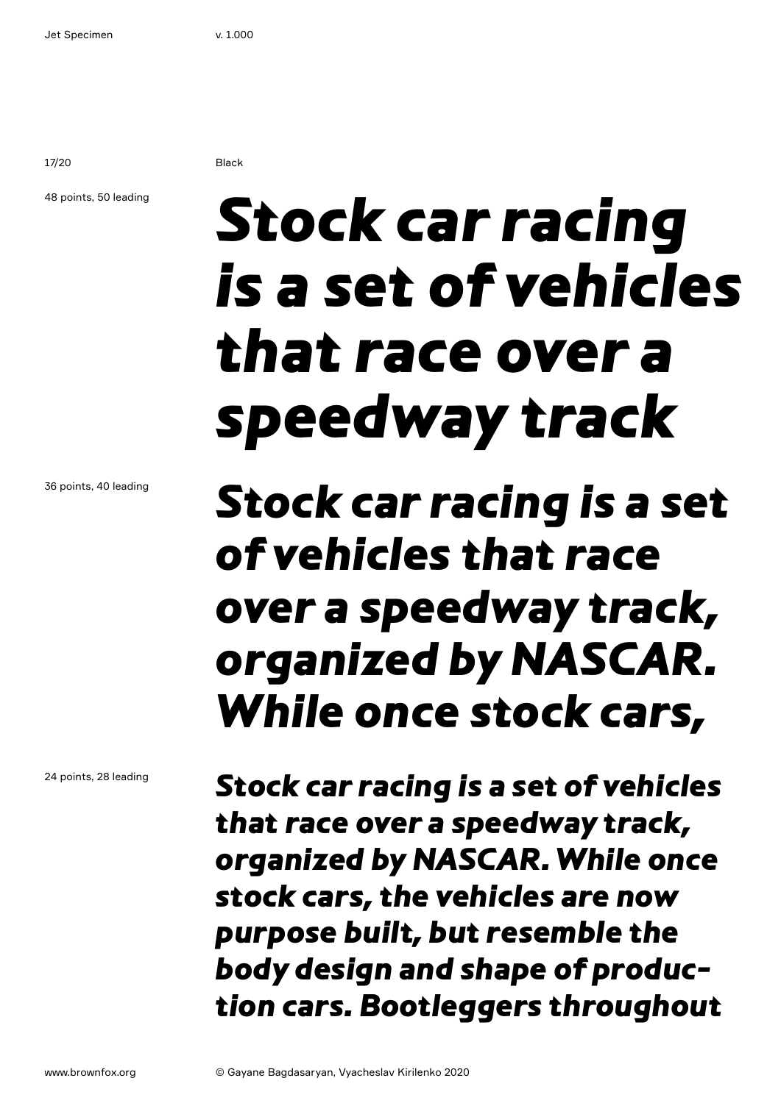17/20 Black

### 48 points, 50 leading

## Stock car racing is a set of vehicles that race over a speedway track

### 36 points, 40 leading

24 points, 28 leading

### Stock car racing is a set of vehicles that race over a speedway track, organized by NASCAR. While once stock cars,

Stock car racing is a set of vehicles that race over a speedway track, organized by NASCAR. While once stock cars, the vehicles are now purpose built, but resemble the body design and shape of production cars. Bootleggers throughout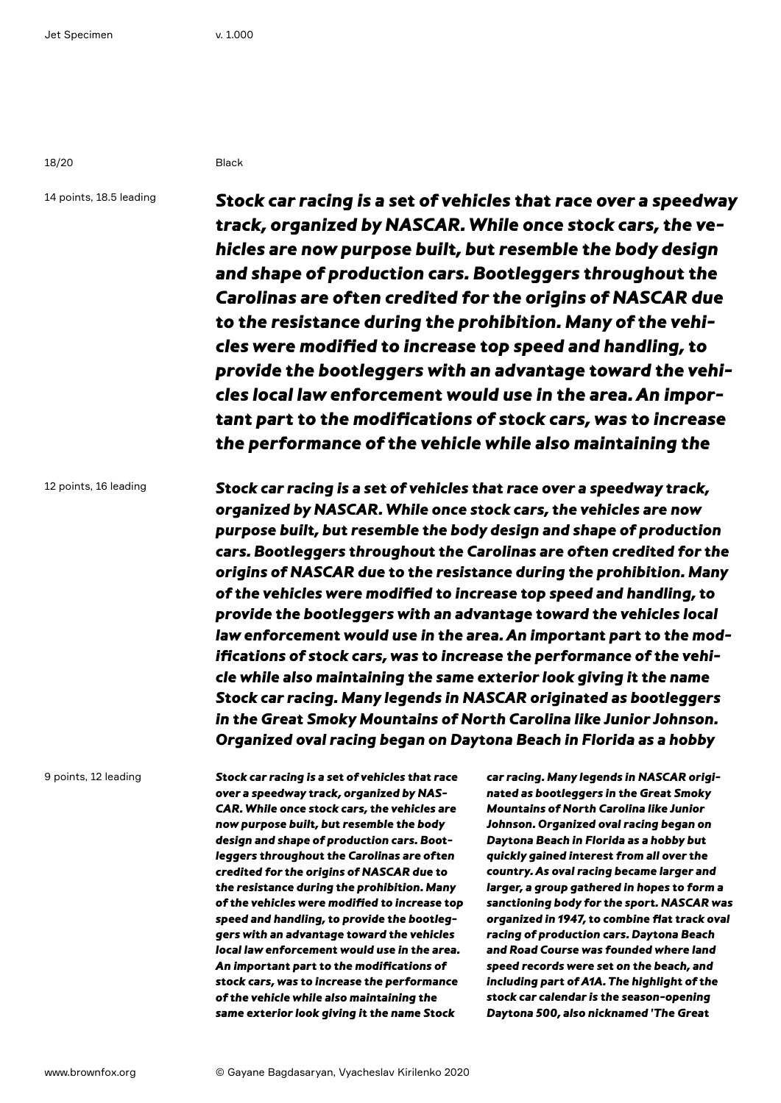18/20 Black

14 points, 18.5 leading

Stock car racing is a set of vehicles that race over a speedway track, organized by NASCAR. While once stock cars, the vehicles are now purpose built, but resemble the body design and shape of production cars. Bootleggers throughout the Carolinas are often credited for the origins of NASCAR due to the resistance during the prohibition. Many of the vehicles were modified to increase top speed and handling, to provide the bootleggers with an advantage toward the vehicles local law enforcement would use in the area. An important part to the modifications of stock cars, was to increase the performance of the vehicle while also maintaining the

12 points, 16 leading

Stock car racing is a set of vehicles that race over a speedway track, organized by NASCAR. While once stock cars, the vehicles are now purpose built, but resemble the body design and shape of production cars. Bootleggers throughout the Carolinas are often credited for the origins of NASCAR due to the resistance during the prohibition. Many of the vehicles were modified to increase top speed and handling, to provide the bootleggers with an advantage toward the vehicles local law enforcement would use in the area. An important part to the modifications of stock cars, was to increase the performance of the vehicle while also maintaining the same exterior look giving it the name Stock car racing. Many legends in NASCAR originated as bootleggers in the Great Smoky Mountains of North Carolina like Junior Johnson. Organized oval racing began on Daytona Beach in Florida as a hobby

9 points, 12 leading

Stock car racing is a set of vehicles that race over a speedway track, organized by NAS-CAR. While once stock cars, the vehicles are now purpose built, but resemble the body design and shape of production cars. Bootleggers throughout the Carolinas are often credited for the origins of NASCAR due to the resistance during the prohibition. Many of the vehicles were modified to increase top speed and handling, to provide the bootleggers with an advantage toward the vehicles local law enforcement would use in the area. An important part to the modifications of stock cars, was to increase the performance of the vehicle while also maintaining the same exterior look giving it the name Stock

car racing. Many legends in NASCAR originated as bootleggers in the Great Smoky Mountains of North Carolina like Junior Johnson. Organized oval racing began on Daytona Beach in Florida as a hobby but quickly gained interest from all over the country. As oval racing became larger and larger, a group gathered in hopes to form a sanctioning body for the sport. NASCAR was organized in 1947, to combine flat track oval racing of production cars. Daytona Beach and Road Course was founded where land speed records were set on the beach, and including part of A1A. The highlight of the stock car calendar is the season-opening Daytona 500, also nicknamed 'The Great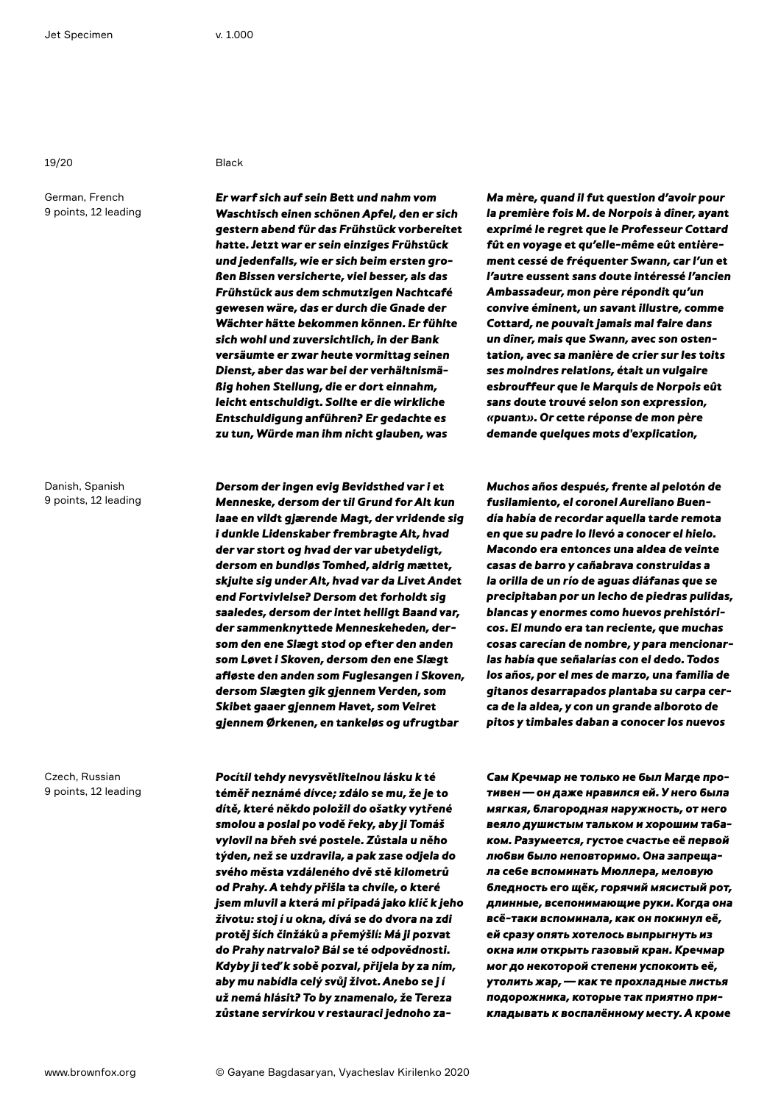19/20 Black

German, French 9 points, 12 leading

Danish, Spanish 9 points, 12 leading

Czech, Russian 9 points, 12 leading

Er warf sich auf sein Bett und nahm vom Waschtisch einen schönen Apfel, den er sich gestern abend für das Frühstück vorbereitet hatte. Jetzt war er sein einziges Frühstück und jedenfalls, wie er sich beim ersten großen Bissen versicherte, viel besser, als das Frühstück aus dem schmutzigen Nachtcafé gewesen wäre, das er durch die Gnade der Wächter hätte bekommen können. Er fühlte sich wohl und zuversichtlich, in der Bank versäumte er zwar heute vormittag seinen Dienst, aber das war bei der verhältnismäßig hohen Stellung, die er dort einnahm, leicht entschuldigt. Sollte er die wirkliche Entschuldigung anführen? Er gedachte es zu tun, Würde man ihm nicht glauben, was

Dersom der ingen evig Bevidsthed var i et Menneske, dersom der til Grund for Alt kun laae en vildt gjærende Magt, der vridende sig i dunkle Lidenskaber frembragte Alt, hvad der var stort og hvad der var ubetydeligt, dersom en bundløs Tomhed, aldrig mættet, skjulte sig under Alt, hvad var da Livet Andet end Fortvivlelse? Dersom det forholdt sig saaledes, dersom der intet helligt Baand var, der sammenknyttede Menneskeheden, dersom den ene Slægt stod op efter den anden som Løvet i Skoven, dersom den ene Slægt afløste den anden som Fuglesangen i Skoven, dersom Slægten gik gjennem Verden, som Skibet gaaer gjennem Havet, som Veiret gjennem Ørkenen, en tankeløs og ufrugtbar

Pocítil tehdy nevysvětlitelnou lásku k té téměř neznámé dívce; zdálo se mu, že je to dítě, které někdo položil do ošatky vytřené smolou a poslal po vodě řeky, aby ji Tomáš vylovil na břeh své postele. Zůstala u něho týden, než se uzdravila, a pak zase odjela do svého města vzdáleného dvě stě kilometrů od Prahy. A tehdy přišla ta chvíle, o které jsem mluvil a která mi připadá jako klíč k jeho životu: stoj í u okna, dívá se do dvora na zdi protěj ších činžáků a přemýšlí: Má ji pozvat do Prahy natrvalo? Bál se té odpovědnosti. Kdyby ji teď k sobě pozval, přijela by za ním, aby mu nabídla celý svůj život. Anebo se j í už nemá hlásit? To by znamenalo, že Tereza zůstane servírkou v restauraci jednoho zaMa mère, quand il fut question d'avoir pour la première fois M. de Norpois à dîner, ayant exprimé le regret que le Professeur Cottard fût en voyage et qu'elle-même eût entièrement cessé de fréquenter Swann, car l'un et l'autre eussent sans doute intéressé l'ancien Ambassadeur, mon père répondit qu'un convive éminent, un savant illustre, comme Cottard, ne pouvait jamais mal faire dans un dîner, mais que Swann, avec son ostentation, avec sa manière de crier sur les toits ses moindres relations, était un vulgaire esbrouffeur que le Marquis de Norpois eût sans doute trouvé selon son expression, «puant». Or cette réponse de mon père demande quelques mots d'explication,

Muchos años después, frente al pelotón de fusilamiento, el coronel Aureliano Buendía había de recordar aquella tarde remota en que su padre lo llevó a conocer el hielo. Macondo era entonces una aldea de veinte casas de barro y cañabrava construidas a la orilla de un río de aguas diáfanas que se precipitaban por un lecho de piedras pulidas, blancas y enormes como huevos prehistóricos. El mundo era tan reciente, que muchas cosas carecían de nombre, y para mencionarlas había que señalarías con el dedo. Todos los años, por el mes de marzo, una familia de gitanos desarrapados plantaba su carpa cerca de la aldea, y con un grande alboroto de pitos y timbales daban a conocer los nuevos

Сам Кречмар не только не был Магде противен—он даже нравился ей. У него была мягкая, благородная наружность, от него веяло душистым тальком и хорошим табаком. Разумеется, густое счастье её первой любви было неповторимо. Она запрещала себе вспоминать Мюллера, меловую бледность его щёк, горячий мясистый рот, длинные, всепонимающие руки. Когда она всё-таки вспоминала, как он покинул её, ей сразу опять хотелось выпрыгнуть из окна или открыть газовый кран. Кречмар мог до некоторой степени успокоить её, утолить жар,—как те прохладные листья подорожника, которые так приятно прикладывать к воспалённому месту. А кроме